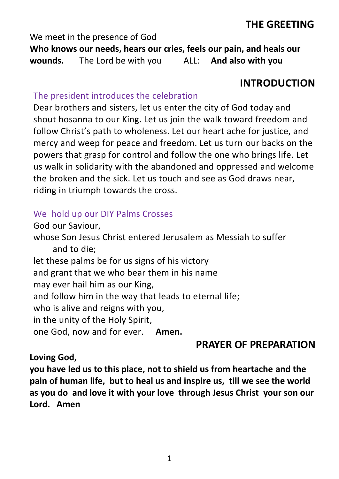## **THE GREETING**

We meet in the presence of God

**Who knows our needs, hears our cries, feels our pain, and heals our wounds.** The Lord be with you ALL: **And also with you**

## **INTRODUCTION**

## The president introduces the celebration

Dear brothers and sisters, let us enter the city of God today and shout hosanna to our King. Let us join the walk toward freedom and follow Christ's path to wholeness. Let our heart ache for justice, and mercy and weep for peace and freedom. Let us turn our backs on the powers that grasp for control and follow the one who brings life. Let us walk in solidarity with the abandoned and oppressed and welcome the broken and the sick. Let us touch and see as God draws near, riding in triumph towards the cross.

## We hold up our DIY Palms Crosses

God our Saviour, whose Son Jesus Christ entered Jerusalem as Messiah to suffer and to die; let these palms be for us signs of his victory and grant that we who bear them in his name may ever hail him as our King, and follow him in the way that leads to eternal life; who is alive and reigns with you, in the unity of the Holy Spirit, one God, now and for ever. **Amen.**

## **PRAYER OF PREPARATION**

## **Loving God,**

**you have led us to this place, not to shield us from heartache and the pain of human life, but to heal us and inspire us, till we see the world as you do and love it with your love through Jesus Christ your son our Lord. Amen**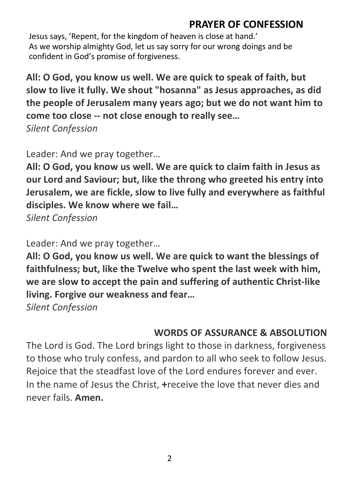# **PRAYER OF CONFESSION**

Jesus says, 'Repent, for the kingdom of heaven is close at hand.' As we worship almighty God, let us say sorry for our wrong doings and be confident in God's promise of forgiveness.

**All: O God, you know us well. We are quick to speak of faith, but slow to live it fully. We shout "hosanna" as Jesus approaches, as did the people of Jerusalem many years ago; but we do not want him to come too close -- not close enough to really see…**

*Silent Confession*

Leader: And we pray together…

**All: O God, you know us well. We are quick to claim faith in Jesus as our Lord and Saviour; but, like the throng who greeted his entry into Jerusalem, we are fickle, slow to live fully and everywhere as faithful disciples. We know where we fail…**

*Silent Confession*

Leader: And we pray together…

**All: O God, you know us well. We are quick to want the blessings of faithfulness; but, like the Twelve who spent the last week with him, we are slow to accept the pain and suffering of authentic Christ-like living. Forgive our weakness and fear…**

*Silent Confession*

# **WORDS OF ASSURANCE & ABSOLUTION**

The Lord is God. The Lord brings light to those in darkness, forgiveness to those who truly confess, and pardon to all who seek to follow Jesus. Rejoice that the steadfast love of the Lord endures forever and ever. In the name of Jesus the Christ, **+**receive the love that never dies and never fails. **Amen.**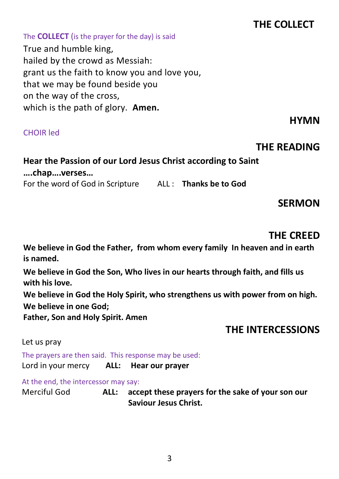# **THE COLLECT**

#### The **COLLECT** (is the prayer for the day) is said

True and humble king, hailed by the crowd as Messiah: grant us the faith to know you and love you, that we may be found beside you on the way of the cross, which is the path of glory. **Amen.**

#### CHOIR led

# *HYMN*

## **THE READING**

# **Hear the Passion of our Lord Jesus Christ according to Saint ….chap….verses…**

For the word of God in Scripture ALL : **Thanks be to God**

## **SERMON**

## **THE CREED**

**We believe in God the Father, from whom every family In heaven and in earth is named.**

**We believe in God the Son, Who lives in our hearts through faith, and fills us with his love.**

**We believe in God the Holy Spirit, who strengthens us with power from on high. We believe in one God;**

**Father, Son and Holy Spirit. Amen**

## **THE INTERCESSIONS**

#### Let us pray

The prayers are then said. This response may be used: Lord in your mercy **ALL: Hear our prayer**

At the end, the intercessor may say:

Merciful God **ALL: accept these prayers for the sake of your son our Saviour Jesus Christ.**